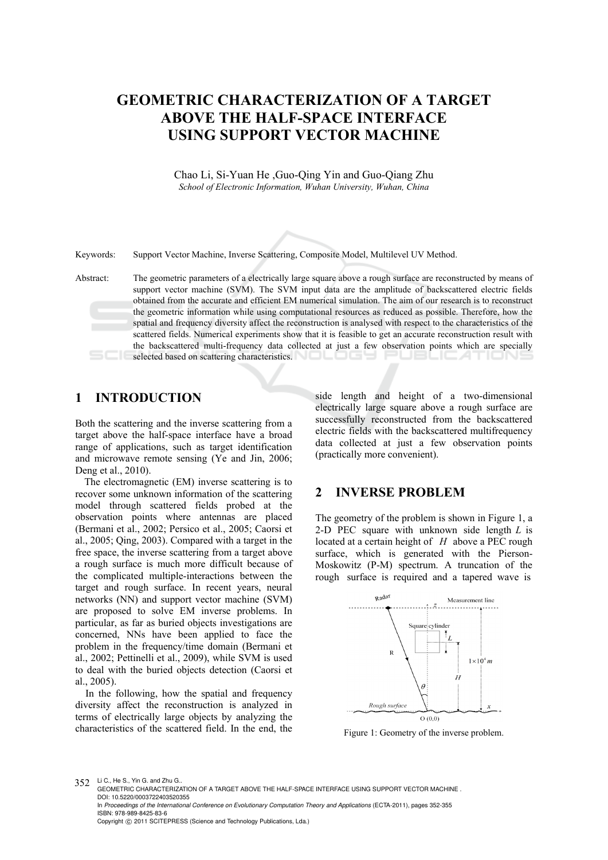# **GEOMETRIC CHARACTERIZATION OF A TARGET ABOVE THE HALF-SPACE INTERFACE USING SUPPORT VECTOR MACHINE**

Chao Li, Si-Yuan He ,Guo-Qing Yin and Guo-Qiang Zhu *School of Electronic Information, Wuhan University, Wuhan, China* 

Keywords: Support Vector Machine, Inverse Scattering, Composite Model, Multilevel UV Method.

Abstract: The geometric parameters of a electrically large square above a rough surface are reconstructed by means of support vector machine (SVM). The SVM input data are the amplitude of backscattered electric fields obtained from the accurate and efficient EM numerical simulation. The aim of our research is to reconstruct the geometric information while using computational resources as reduced as possible. Therefore, how the spatial and frequency diversity affect the reconstruction is analysed with respect to the characteristics of the scattered fields. Numerical experiments show that it is feasible to get an accurate reconstruction result with the backscattered multi-frequency data collected at just a few observation points which are specially selected based on scattering characteristics.

### **1 INTRODUCTION**

Both the scattering and the inverse scattering from a target above the half-space interface have a broad range of applications, such as target identification and microwave remote sensing (Ye and Jin, 2006; Deng et al., 2010).

The electromagnetic (EM) inverse scattering is to recover some unknown information of the scattering model through scattered fields probed at the observation points where antennas are placed (Bermani et al., 2002; Persico et al., 2005; Caorsi et al., 2005; Qing, 2003). Compared with a target in the free space, the inverse scattering from a target above a rough surface is much more difficult because of the complicated multiple-interactions between the target and rough surface. In recent years, neural networks (NN) and support vector machine (SVM) are proposed to solve EM inverse problems. In particular, as far as buried objects investigations are concerned, NNs have been applied to face the problem in the frequency/time domain (Bermani et al., 2002; Pettinelli et al., 2009), while SVM is used to deal with the buried objects detection (Caorsi et al., 2005).

In the following, how the spatial and frequency diversity affect the reconstruction is analyzed in terms of electrically large objects by analyzing the characteristics of the scattered field. In the end, the side length and height of a two-dimensional electrically large square above a rough surface are successfully reconstructed from the backscattered electric fields with the backscattered multifrequency data collected at just a few observation points (practically more convenient).

### **2 INVERSE PROBLEM**

The geometry of the problem is shown in Figure 1, a 2-D PEC square with unknown side length *L* is located at a certain height of *H* above a PEC rough surface, which is generated with the Pierson-Moskowitz (P-M) spectrum. A truncation of the rough surface is required and a tapered wave is



Figure 1: Geometry of the inverse problem.

352 Li C., He S., Yin G. and Zhu G.

GEOMETRIC CHARACTERIZATION OF A TARGET ABOVE THE HALF-SPACE INTERFACE USING SUPPORT VECTOR MACHINE . DOI: 10.5220/0003722403520355

In *Proceedings of the International Conference on Evolutionary Computation Theory and Applications* (ECTA-2011), pages 352-355 ISBN: 978-989-8425-83-6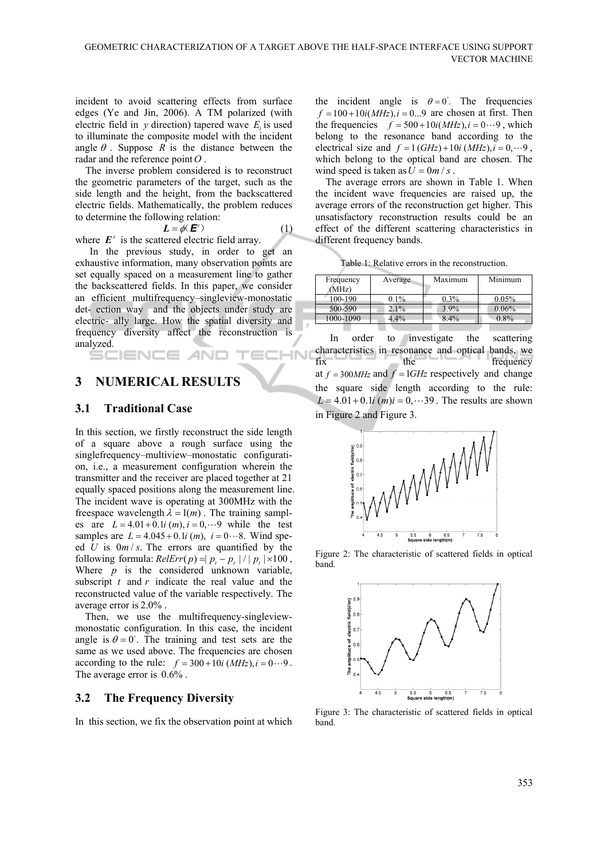incident to avoid scattering effects from surface edges (Ye and Jin, 2006). A TM polarized (with electric field in  $y$  direction) tapered wave  $E_i$  is used to illuminate the composite model with the incident angle  $\theta$ . Suppose *R* is the distance between the radar and the reference point*O* .

The inverse problem considered is to reconstruct the geometric parameters of the target, such as the side length and the height, from the backscattered electric fields. Mathematically, the problem reduces to determine the following relation:

$$
L = \phi(E^s) \tag{1}
$$

where  $E^s$  is the scattered electric field array.

In the previous study, in order to get an exhaustive information, many observation points are set equally spaced on a measurement line to gather the backscattered fields. In this paper, we consider an efficient multifrequency–singleview-monostatic det- ection way and the objects under study are electric- ally large. How the spatial diversity and frequency diversity affect the reconstruction is analyzed. ANI IN

## **3 NUMERICAL RESULTS**

#### **3.1 Traditional Case**

SCIENCE

In this section, we firstly reconstruct the side length of a square above a rough surface using the singlefrequency–multiview–monostatic configuration, i.e., a measurement configuration wherein the transmitter and the receiver are placed together at 21 equally spaced positions along the measurement line. The incident wave is operating at 300MHz with the freespace wavelength  $\lambda = 1(m)$ . The training samples are  $L = 4.01 + 0.1i (m), i = 0, \dots 9$  while the test samples are  $L = 4.045 + 0.1i (m)$ ,  $i = 0 \cdots 8$ . Wind speed *U* is  $0m/s$ . The errors are quantified by the following formula:  $ReIErr(p) = | p_t - p_r | / | p_t | \times 100$ , Where *p* is the considered unknown variable, subscript *t* and *r* indicate the real value and the reconstructed value of the variable respectively. The average error is 2.0% .

 Then, we use the multifrequency-singleviewmonostatic configuration. In this case, the incident angle is  $\theta = 0^{\circ}$ . The training and test sets are the same as we used above. The frequencies are chosen according to the rule:  $f = 300 + 10i (MHz)$ ,  $i = 0 \cdots 9$ . The average error is 0.6% .

#### **3.2 The Frequency Diversity**

In this section, we fix the observation point at which

the incident angle is  $\theta = 0^{\degree}$ . The frequencies  $f = 100 + 10i(MHz), i = 0...9$  are chosen at first. Then the frequencies  $f = 500 + 10i(MHz), i = 0 \cdots 9$ , which belong to the resonance band according to the electrical size and  $f = 1 (GHz) + 10i (MHz), i = 0, \dots 9$ , which belong to the optical band are chosen. The wind speed is taken as  $U = 0m / s$ .

The average errors are shown in Table 1. When the incident wave frequencies are raised up, the average errors of the reconstruction get higher. This unsatisfactory reconstruction results could be an effect of the different scattering characteristics in different frequency bands.

Table 1: Relative errors in the reconstruction.

| Frequency | Average | Maximum | Minimum |
|-----------|---------|---------|---------|
| (MHz)     |         |         |         |
| 100-190   | $0.1\%$ | $0.3\%$ | 0.05%   |
| 500-590   | 2.1%    | 3.9%    | 0.06%   |
| 1000-1090 | 4.4%    | 8.4%    | $0.8\%$ |
|           |         |         |         |

In order to investigate the scattering characteristics in resonance and optical bands, we fix the frequency at  $f = 300MHz$  and  $f = 1GHz$  respectively and change the square side length according to the rule:  $L = 4.01 + 0.1i$  (*m*) $i = 0, \dots 39$ . The results are shown in Figure 2 and Figure 3.



Figure 2: The characteristic of scattered fields in optical band.



Figure 3: The characteristic of scattered fields in optical band.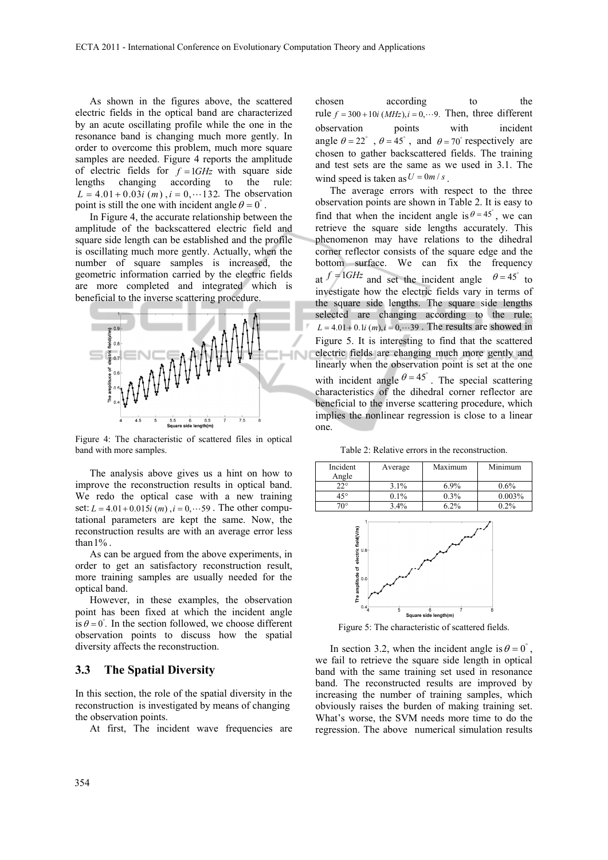As shown in the figures above, the scattered electric fields in the optical band are characterized by an acute oscillating profile while the one in the resonance band is changing much more gently. In order to overcome this problem, much more square samples are needed. Figure 4 reports the amplitude of electric fields for  $f = 1$ *GHz* with square side lengths changing according to the rule:  $L = 4.01 + 0.03i$  (*m*),  $i = 0, \dots 132$ . The observation point is still the one with incident angle  $\theta = 0^\circ$ .

In Figure 4, the accurate relationship between the amplitude of the backscattered electric field and square side length can be established and the profile is oscillating much more gently. Actually, when the number of square samples is increased, the geometric information carried by the electric fields are more completed and integrated which is beneficial to the inverse scattering procedure.



Figure 4: The characteristic of scattered files in optical band with more samples.

The analysis above gives us a hint on how to improve the reconstruction results in optical band. We redo the optical case with a new training set:  $L = 4.01 + 0.015i$  (*m*),  $i = 0, \dots 59$ . The other computational parameters are kept the same. Now, the reconstruction results are with an average error less than  $1\%$ .

As can be argued from the above experiments, in order to get an satisfactory reconstruction result, more training samples are usually needed for the optical band.

However, in these examples, the observation point has been fixed at which the incident angle is  $\theta = 0$ <sup> $\degree$ </sup>. In the section followed, we choose different observation points to discuss how the spatial diversity affects the reconstruction.

#### **3.3 The Spatial Diversity**

In this section, the role of the spatial diversity in the reconstruction is investigated by means of changing the observation points.

At first, The incident wave frequencies are

chosen according to the rule  $f = 300 + 10i (MHz)$ ,  $i = 0, \dots 9$ . Then, three different observation points with incident angle  $\theta = 22^{\circ}$ ,  $\theta = 45^{\circ}$ , and  $\theta = 70^{\circ}$  respectively are chosen to gather backscattered fields. The training and test sets are the same as we used in 3.1. The wind speed is taken as  $U = 0m/s$ .

The average errors with respect to the three observation points are shown in Table 2. It is easy to find that when the incident angle is  $\theta = 45^\circ$ , we can retrieve the square side lengths accurately. This phenomenon may have relations to the dihedral corner reflector consists of the square edge and the bottom surface. We can fix the frequency at  $f = 1$ *GHz* and set the incident angle  $\theta = 45^\circ$  to investigate how the electric fields vary in terms of the square side lengths. The square side lengths selected are changing according to the rule:  $L = 4.01 + 0.1i (m), i = 0, \cdots 39$ . The results are showed in Figure 5. It is interesting to find that the scattered electric fields are changing much more gently and linearly when the observation point is set at the one with incident angle  $\theta = 45^\circ$ . The special scattering characteristics of the dihedral corner reflector are beneficial to the inverse scattering procedure, which implies the nonlinear regression is close to a linear one.

Table 2: Relative errors in the reconstruction.

| Incident<br>Angle | Average | Maximum | Minimum |
|-------------------|---------|---------|---------|
| $22^{\circ}$      | $3.1\%$ | $6.9\%$ | 0.6%    |
| $45^{\circ}$      | 0.1%    | $0.3\%$ | 0.003%  |
| $70^{\circ}$      | $3.4\%$ | 6 2%    | $0.2\%$ |



Figure 5: The characteristic of scattered fields.

In section 3.2, when the incident angle is  $\theta = 0^\circ$ , we fail to retrieve the square side length in optical band with the same training set used in resonance band. The reconstructed results are improved by increasing the number of training samples, which obviously raises the burden of making training set. What's worse, the SVM needs more time to do the regression. The above numerical simulation results